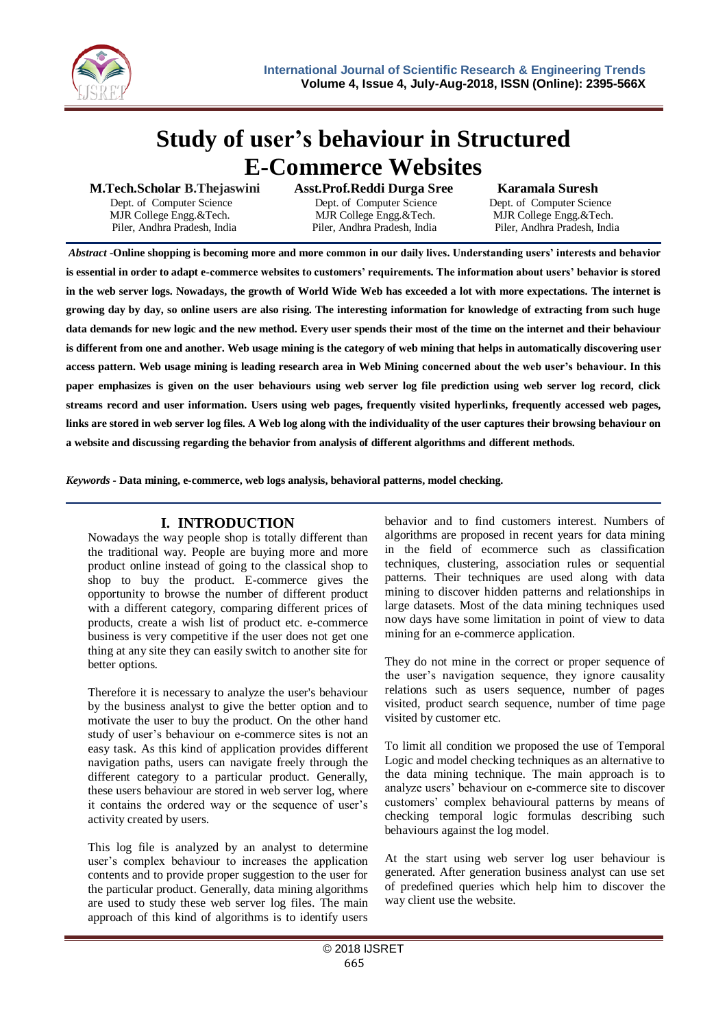

# **Study of user's behaviour in Structured E-Commerce Websites**

 **M.Tech.Scholar B.Thejaswini Asst.Prof.Reddi Durga Sree Karamala Suresh** Dept. of Computer Science Dept. of Computer Science Dept. of Computer Science MJR College Engg.&Tech. MJR College Engg.&Tech. MJR College Engg.&Tech.

Piler, Andhra Pradesh, India Piler, Andhra Pradesh, India Piler, Andhra Pradesh, India

*Abstract* **-Online shopping is becoming more and more common in our daily lives. Understanding users' interests and behavior is essential in order to adapt e-commerce websites to customers' requirements. The information about users' behavior is stored in the web server logs. Nowadays, the growth of World Wide Web has exceeded a lot with more expectations. The internet is growing day by day, so online users are also rising. The interesting information for knowledge of extracting from such huge data demands for new logic and the new method. Every user spends their most of the time on the internet and their behaviour is different from one and another. Web usage mining is the category of web mining that helps in automatically discovering user access pattern. Web usage mining is leading research area in Web Mining concerned about the web user's behaviour. In this paper emphasizes is given on the user behaviours using web server log file prediction using web server log record, click streams record and user information. Users using web pages, frequently visited hyperlinks, frequently accessed web pages, links are stored in web server log files. A Web log along with the individuality of the user captures their browsing behaviour on a website and discussing regarding the behavior from analysis of different algorithms and different methods.**

*Keywords -* **Data mining, e-commerce, web logs analysis, behavioral patterns, model checking.**

### **I. INTRODUCTION**

Nowadays the way people shop is totally different than the traditional way. People are buying more and more product online instead of going to the classical shop to shop to buy the product. E-commerce gives the opportunity to browse the number of different product with a different category, comparing different prices of products, create a wish list of product etc. e-commerce business is very competitive if the user does not get one thing at any site they can easily switch to another site for better options.

Therefore it is necessary to analyze the user's behaviour by the business analyst to give the better option and to motivate the user to buy the product. On the other hand study of user's behaviour on e-commerce sites is not an easy task. As this kind of application provides different navigation paths, users can navigate freely through the different category to a particular product. Generally, these users behaviour are stored in web server log, where it contains the ordered way or the sequence of user's activity created by users.

This log file is analyzed by an analyst to determine user's complex behaviour to increases the application contents and to provide proper suggestion to the user for the particular product. Generally, data mining algorithms are used to study these web server log files. The main approach of this kind of algorithms is to identify users

behavior and to find customers interest. Numbers of algorithms are proposed in recent years for data mining in the field of ecommerce such as classification techniques, clustering, association rules or sequential patterns. Their techniques are used along with data mining to discover hidden patterns and relationships in large datasets. Most of the data mining techniques used now days have some limitation in point of view to data mining for an e-commerce application.

They do not mine in the correct or proper sequence of the user's navigation sequence, they ignore causality relations such as users sequence, number of pages visited, product search sequence, number of time page visited by customer etc.

To limit all condition we proposed the use of Temporal Logic and model checking techniques as an alternative to the data mining technique. The main approach is to analyze users' behaviour on e-commerce site to discover customers' complex behavioural patterns by means of checking temporal logic formulas describing such behaviours against the log model.

At the start using web server log user behaviour is generated. After generation business analyst can use set of predefined queries which help him to discover the way client use the website.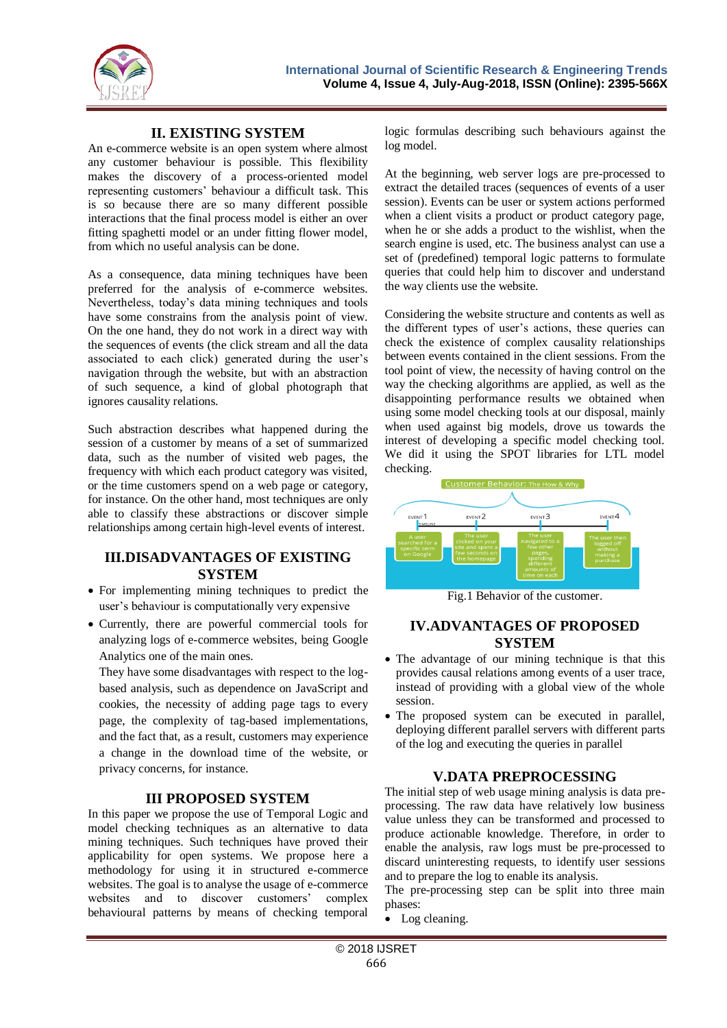

#### **II. EXISTING SYSTEM**

An e-commerce website is an open system where almost any customer behaviour is possible. This flexibility makes the discovery of a process-oriented model representing customers' behaviour a difficult task. This is so because there are so many different possible interactions that the final process model is either an over fitting spaghetti model or an under fitting flower model, from which no useful analysis can be done.

As a consequence, data mining techniques have been preferred for the analysis of e-commerce websites. Nevertheless, today's data mining techniques and tools have some constrains from the analysis point of view. On the one hand, they do not work in a direct way with the sequences of events (the click stream and all the data associated to each click) generated during the user's navigation through the website, but with an abstraction of such sequence, a kind of global photograph that ignores causality relations.

Such abstraction describes what happened during the session of a customer by means of a set of summarized data, such as the number of visited web pages, the frequency with which each product category was visited, or the time customers spend on a web page or category, for instance. On the other hand, most techniques are only able to classify these abstractions or discover simple relationships among certain high-level events of interest.

## **III.DISADVANTAGES OF EXISTING SYSTEM**

- For implementing mining techniques to predict the user's behaviour is computationally very expensive
- Currently, there are powerful commercial tools for analyzing logs of e-commerce websites, being Google Analytics one of the main ones.

They have some disadvantages with respect to the logbased analysis, such as dependence on JavaScript and cookies, the necessity of adding page tags to every page, the complexity of tag-based implementations, and the fact that, as a result, customers may experience a change in the download time of the website, or privacy concerns, for instance.

#### **III PROPOSED SYSTEM**

In this paper we propose the use of Temporal Logic and model checking techniques as an alternative to data mining techniques. Such techniques have proved their applicability for open systems. We propose here a methodology for using it in structured e-commerce websites. The goal is to analyse the usage of e-commerce websites and to discover customers' complex behavioural patterns by means of checking temporal

logic formulas describing such behaviours against the log model.

At the beginning, web server logs are pre-processed to extract the detailed traces (sequences of events of a user session). Events can be user or system actions performed when a client visits a product or product category page, when he or she adds a product to the wishlist, when the search engine is used, etc. The business analyst can use a set of (predefined) temporal logic patterns to formulate queries that could help him to discover and understand the way clients use the website.

Considering the website structure and contents as well as the different types of user's actions, these queries can check the existence of complex causality relationships between events contained in the client sessions. From the tool point of view, the necessity of having control on the way the checking algorithms are applied, as well as the disappointing performance results we obtained when using some model checking tools at our disposal, mainly when used against big models, drove us towards the interest of developing a specific model checking tool. We did it using the SPOT libraries for LTL model checking.



Fig.1 Behavior of the customer.

#### **IV.ADVANTAGES OF PROPOSED SYSTEM**

- The advantage of our mining technique is that this provides causal relations among events of a user trace, instead of providing with a global view of the whole session.
- The proposed system can be executed in parallel. deploying different parallel servers with different parts of the log and executing the queries in parallel

#### **V.DATA PREPROCESSING**

The initial step of web usage mining analysis is data preprocessing. The raw data have relatively low business value unless they can be transformed and processed to produce actionable knowledge. Therefore, in order to enable the analysis, raw logs must be pre-processed to discard uninteresting requests, to identify user sessions and to prepare the log to enable its analysis.

The pre-processing step can be split into three main phases:

• Log cleaning.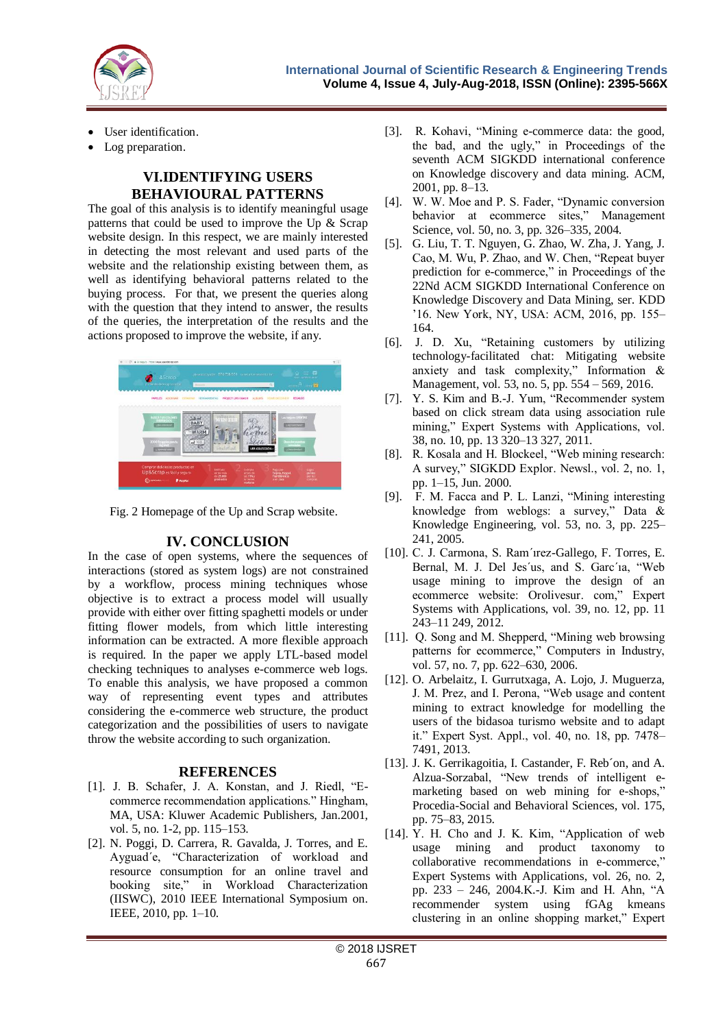

- User identification.
- Log preparation.

## **VI.IDENTIFYING USERS BEHAVIOURAL PATTERNS**

The goal of this analysis is to identify meaningful usage patterns that could be used to improve the Up & Scrap website design. In this respect, we are mainly interested in detecting the most relevant and used parts of the website and the relationship existing between them, as well as identifying behavioral patterns related to the buying process. For that, we present the queries along with the question that they intend to answer, the results of the queries, the interpretation of the results and the actions proposed to improve the website, if any.



Fig. 2 Homepage of the Up and Scrap website.

### **IV. CONCLUSION**

In the case of open systems, where the sequences of interactions (stored as system logs) are not constrained by a workflow, process mining techniques whose objective is to extract a process model will usually provide with either over fitting spaghetti models or under fitting flower models, from which little interesting information can be extracted. A more flexible approach is required. In the paper we apply LTL-based model checking techniques to analyses e-commerce web logs. To enable this analysis, we have proposed a common way of representing event types and attributes considering the e-commerce web structure, the product categorization and the possibilities of users to navigate throw the website according to such organization.

#### **REFERENCES**

- [1]. J. B. Schafer, J. A. Konstan, and J. Riedl, "Ecommerce recommendation applications." Hingham, MA, USA: Kluwer Academic Publishers, Jan.2001, vol. 5, no. 1-2, pp. 115–153.
- [2]. N. Poggi, D. Carrera, R. Gavalda, J. Torres, and E. Ayguad´e, "Characterization of workload and resource consumption for an online travel and booking site," in Workload Characterization (IISWC), 2010 IEEE International Symposium on. IEEE, 2010, pp. 1–10.
- [3]. R. Kohavi, "Mining e-commerce data: the good, the bad, and the ugly," in Proceedings of the seventh ACM SIGKDD international conference on Knowledge discovery and data mining. ACM, 2001, pp. 8–13.
- [4]. W. W. Moe and P. S. Fader, "Dynamic conversion behavior at ecommerce sites," Management Science, vol. 50, no. 3, pp. 326–335, 2004.
- [5]. G. Liu, T. T. Nguyen, G. Zhao, W. Zha, J. Yang, J. Cao, M. Wu, P. Zhao, and W. Chen, "Repeat buyer prediction for e-commerce," in Proceedings of the 22Nd ACM SIGKDD International Conference on Knowledge Discovery and Data Mining, ser. KDD '16. New York, NY, USA: ACM, 2016, pp. 155– 164.
- [6]. J. D. Xu, "Retaining customers by utilizing technology-facilitated chat: Mitigating website anxiety and task complexity," Information & Management, vol. 53, no. 5, pp. 554 – 569, 2016.
- [7]. Y. S. Kim and B.-J. Yum, "Recommender system based on click stream data using association rule mining," Expert Systems with Applications, vol. 38, no. 10, pp. 13 320–13 327, 2011.
- [8]. R. Kosala and H. Blockeel, "Web mining research: A survey," SIGKDD Explor. Newsl., vol. 2, no. 1, pp. 1–15, Jun. 2000.
- [9]. F. M. Facca and P. L. Lanzi, "Mining interesting knowledge from weblogs: a survey," Data & Knowledge Engineering, vol. 53, no. 3, pp. 225– 241, 2005.
- [10]. C. J. Carmona, S. Ram´ırez-Gallego, F. Torres, E. Bernal, M. J. Del Jes´us, and S. Garc´ıa, "Web usage mining to improve the design of an ecommerce website: Orolivesur. com," Expert Systems with Applications, vol. 39, no. 12, pp. 11 243–11 249, 2012.
- [11]. Q. Song and M. Shepperd, "Mining web browsing patterns for ecommerce," Computers in Industry, vol. 57, no. 7, pp. 622–630, 2006.
- [12]. O. Arbelaitz, I. Gurrutxaga, A. Lojo, J. Muguerza, J. M. Prez, and I. Perona, "Web usage and content mining to extract knowledge for modelling the users of the bidasoa turismo website and to adapt it." Expert Syst. Appl., vol. 40, no. 18, pp. 7478– 7491, 2013.
- [13]. J. K. Gerrikagoitia, I. Castander, F. Reb´on, and A. Alzua-Sorzabal, "New trends of intelligent emarketing based on web mining for e-shops," Procedia-Social and Behavioral Sciences, vol. 175, pp. 75–83, 2015.
- [14]. Y. H. Cho and J. K. Kim, "Application of web usage mining and product taxonomy to collaborative recommendations in e-commerce," Expert Systems with Applications, vol. 26, no. 2, pp. 233 – 246, 2004.K.-J. Kim and H. Ahn, "A recommender system using fGAg kmeans clustering in an online shopping market." Expert